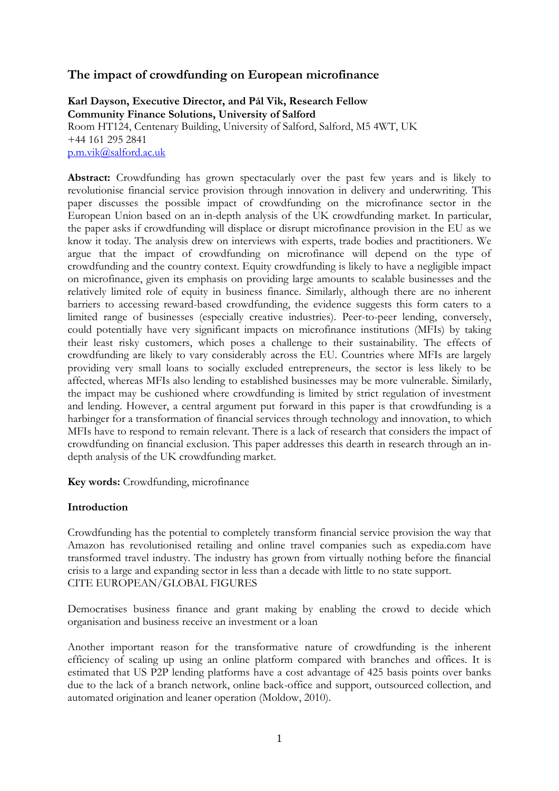# **The impact of crowdfunding on European microfinance**

## **Karl Dayson, Executive Director, and Pål Vik, Research Fellow Community Finance Solutions, University of Salford** Room HT124, Centenary Building, University of Salford, Salford, M5 4WT, UK +44 161 295 2841

[p.m.vik@salford.ac.uk](mailto:p.m.vik@salford.ac.uk)

**Abstract:** Crowdfunding has grown spectacularly over the past few years and is likely to revolutionise financial service provision through innovation in delivery and underwriting. This paper discusses the possible impact of crowdfunding on the microfinance sector in the European Union based on an in-depth analysis of the UK crowdfunding market. In particular, the paper asks if crowdfunding will displace or disrupt microfinance provision in the EU as we know it today. The analysis drew on interviews with experts, trade bodies and practitioners. We argue that the impact of crowdfunding on microfinance will depend on the type of crowdfunding and the country context. Equity crowdfunding is likely to have a negligible impact on microfinance, given its emphasis on providing large amounts to scalable businesses and the relatively limited role of equity in business finance. Similarly, although there are no inherent barriers to accessing reward-based crowdfunding, the evidence suggests this form caters to a limited range of businesses (especially creative industries). Peer-to-peer lending, conversely, could potentially have very significant impacts on microfinance institutions (MFIs) by taking their least risky customers, which poses a challenge to their sustainability. The effects of crowdfunding are likely to vary considerably across the EU. Countries where MFIs are largely providing very small loans to socially excluded entrepreneurs, the sector is less likely to be affected, whereas MFIs also lending to established businesses may be more vulnerable. Similarly, the impact may be cushioned where crowdfunding is limited by strict regulation of investment and lending. However, a central argument put forward in this paper is that crowdfunding is a harbinger for a transformation of financial services through technology and innovation, to which MFIs have to respond to remain relevant. There is a lack of research that considers the impact of crowdfunding on financial exclusion. This paper addresses this dearth in research through an indepth analysis of the UK crowdfunding market.

**Key words:** Crowdfunding, microfinance

#### **Introduction**

Crowdfunding has the potential to completely transform financial service provision the way that Amazon has revolutionised retailing and online travel companies such as expedia.com have transformed travel industry. The industry has grown from virtually nothing before the financial crisis to a large and expanding sector in less than a decade with little to no state support. CITE EUROPEAN/GLOBAL FIGURES

Democratises business finance and grant making by enabling the crowd to decide which organisation and business receive an investment or a loan

Another important reason for the transformative nature of crowdfunding is the inherent efficiency of scaling up using an online platform compared with branches and offices. It is estimated that US P2P lending platforms have a cost advantage of 425 basis points over banks due to the lack of a branch network, online back-office and support, outsourced collection, and automated origination and leaner operation (Moldow, 2010).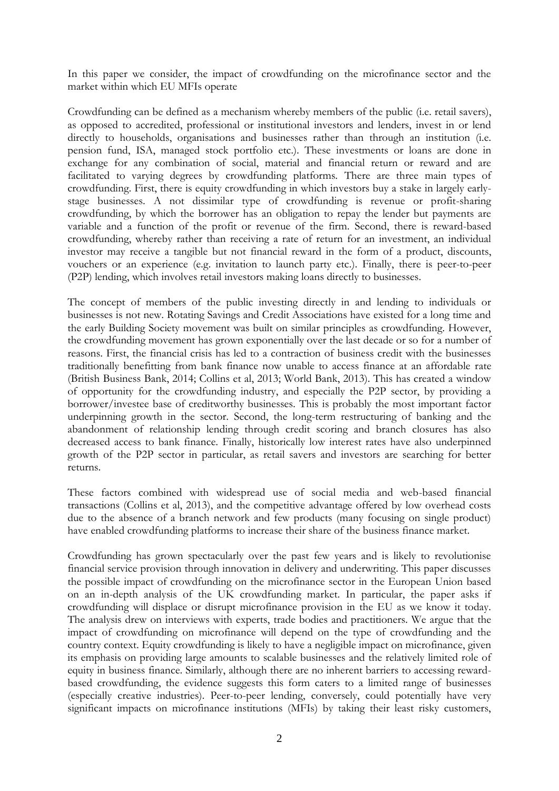In this paper we consider, the impact of crowdfunding on the microfinance sector and the market within which EU MFIs operate

Crowdfunding can be defined as a mechanism whereby members of the public (i.e. retail savers), as opposed to accredited, professional or institutional investors and lenders, invest in or lend directly to households, organisations and businesses rather than through an institution (i.e. pension fund, ISA, managed stock portfolio etc.). These investments or loans are done in exchange for any combination of social, material and financial return or reward and are facilitated to varying degrees by crowdfunding platforms. There are three main types of crowdfunding. First, there is equity crowdfunding in which investors buy a stake in largely earlystage businesses. A not dissimilar type of crowdfunding is revenue or profit-sharing crowdfunding, by which the borrower has an obligation to repay the lender but payments are variable and a function of the profit or revenue of the firm. Second, there is reward-based crowdfunding, whereby rather than receiving a rate of return for an investment, an individual investor may receive a tangible but not financial reward in the form of a product, discounts, vouchers or an experience (e.g. invitation to launch party etc.). Finally, there is peer-to-peer (P2P) lending, which involves retail investors making loans directly to businesses.

The concept of members of the public investing directly in and lending to individuals or businesses is not new. Rotating Savings and Credit Associations have existed for a long time and the early Building Society movement was built on similar principles as crowdfunding. However, the crowdfunding movement has grown exponentially over the last decade or so for a number of reasons. First, the financial crisis has led to a contraction of business credit with the businesses traditionally benefitting from bank finance now unable to access finance at an affordable rate (British Business Bank, 2014; Collins et al, 2013; World Bank, 2013). This has created a window of opportunity for the crowdfunding industry, and especially the P2P sector, by providing a borrower/investee base of creditworthy businesses. This is probably the most important factor underpinning growth in the sector. Second, the long-term restructuring of banking and the abandonment of relationship lending through credit scoring and branch closures has also decreased access to bank finance. Finally, historically low interest rates have also underpinned growth of the P2P sector in particular, as retail savers and investors are searching for better returns.

These factors combined with widespread use of social media and web-based financial transactions (Collins et al, 2013), and the competitive advantage offered by low overhead costs due to the absence of a branch network and few products (many focusing on single product) have enabled crowdfunding platforms to increase their share of the business finance market.

Crowdfunding has grown spectacularly over the past few years and is likely to revolutionise financial service provision through innovation in delivery and underwriting. This paper discusses the possible impact of crowdfunding on the microfinance sector in the European Union based on an in-depth analysis of the UK crowdfunding market. In particular, the paper asks if crowdfunding will displace or disrupt microfinance provision in the EU as we know it today. The analysis drew on interviews with experts, trade bodies and practitioners. We argue that the impact of crowdfunding on microfinance will depend on the type of crowdfunding and the country context. Equity crowdfunding is likely to have a negligible impact on microfinance, given its emphasis on providing large amounts to scalable businesses and the relatively limited role of equity in business finance. Similarly, although there are no inherent barriers to accessing rewardbased crowdfunding, the evidence suggests this form caters to a limited range of businesses (especially creative industries). Peer-to-peer lending, conversely, could potentially have very significant impacts on microfinance institutions (MFIs) by taking their least risky customers,